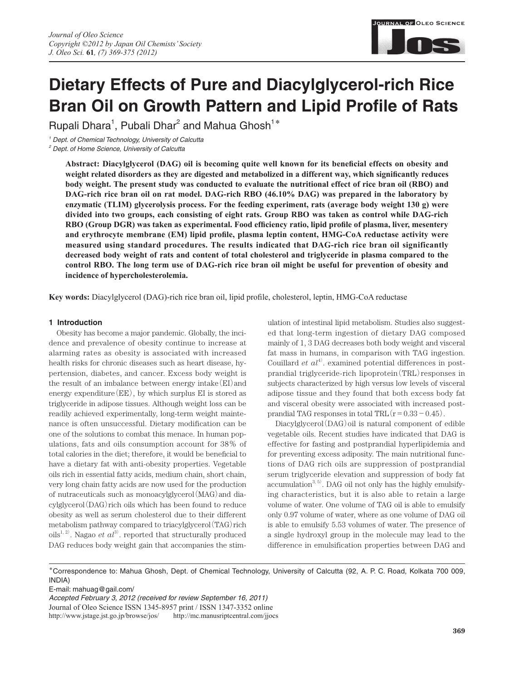

# **Dietary Effects of Pure and Diacylglycerol-rich Rice Bran Oil on Growth Pattern and Lipid Profile of Rats**

Rupali Dhara<sup>1</sup>, Pubali Dhar<sup>2</sup> and Mahua Ghosh<sup>1\*</sup>

*1 Dept. of Chemical Technology, University of Calcutta*

*2 Dept. of Home Science, University of Calcutta*

**Abstract: Diacylglycerol (DAG) oil is becoming quite well known for its beneficial effects on obesity and weight related disorders as they are digested and metabolized in a different way, which significantly reduces body weight. The present study was conducted to evaluate the nutritional effect of rice bran oil (RBO) and DAG-rich rice bran oil on rat model. DAG-rich RBO (46.10% DAG) was prepared in the laboratory by enzymatic (TLIM) glycerolysis process. For the feeding experiment, rats (average body weight 130 g) were divided into two groups, each consisting of eight rats. Group RBO was taken as control while DAG-rich RBO (Group DGR) was taken as experimental. Food efficiency ratio, lipid profile of plasma, liver, mesentery and erythrocyte membrane (EM) lipid profile, plasma leptin content, HMG-CoA reductase activity were measured using standard procedures. The results indicated that DAG-rich rice bran oil significantly decreased body weight of rats and content of total cholesterol and triglyceride in plasma compared to the control RBO. The long term use of DAG-rich rice bran oil might be useful for prevention of obesity and incidence of hypercholesterolemia.** 

**Key words:** Diacylglycerol (DAG)-rich rice bran oil, lipid profile, cholesterol, leptin, HMG-CoA reductase

## **1 Introduction**

Obesity has become a major pandemic. Globally, the incidence and prevalence of obesity continue to increase at alarming rates as obesity is associated with increased health risks for chronic diseases such as heart disease, hypertension, diabetes, and cancer. Excess body weight is the result of an imbalance between energy intake(EI)and energy expenditure $(EE)$ , by which surplus EI is stored as triglyceride in adipose tissues. Although weight loss can be readily achieved experimentally, long-term weight maintenance is often unsuccessful. Dietary modification can be one of the solutions to combat this menace. In human populations, fats and oils consumption account for 38% of total calories in the diet; therefore, it would be beneficial to have a dietary fat with anti-obesity properties. Vegetable oils rich in essential fatty acids, medium chain, short chain, very long chain fatty acids are now used for the production of nutraceuticals such as monoacylglycerol(MAG)and diacylglycerol(DAG)rich oils which has been found to reduce obesity as well as serum cholesterol due to their different metabolism pathway compared to triacylglycerol (TAG) rich oils<sup>1, 2)</sup>. Nagao *et*  $al^{3)}$  reported that structurally produced DAG reduces body weight gain that accompanies the stimulation of intestinal lipid metabolism. Studies also suggested that long-term ingestion of dietary DAG composed mainly of 1, 3 DAG decreases both body weight and visceral fat mass in humans, in comparison with TAG ingestion. Couillard  $et\ a l^{4}$ . examined potential differences in postprandial triglyceride-rich lipoprotein(TRL)responses in subjects characterized by high versus low levels of visceral adipose tissue and they found that both excess body fat and visceral obesity were associated with increased postprandial TAG responses in total TRL $(r=0.33-0.45)$ .

Diacylglycerol(DAG) oil is natural component of edible vegetable oils. Recent studies have indicated that DAG is effective for fasting and postprandial hyperlipidemia and for preventing excess adiposity. The main nutritional functions of DAG rich oils are suppression of postprandial serum triglyceride elevation and suppression of body fat accumulation $^{3, 5)}$ . DAG oil not only has the highly emulsifying characteristics, but it is also able to retain a large volume of water. One volume of TAG oil is able to emulsify only 0.97 volume of water, where as one volume of DAG oil is able to emulsify 5.53 volumes of water. The presence of a single hydroxyl group in the molecule may lead to the difference in emulsification properties between DAG and

**\***Correspondence to: Mahua Ghosh, Dept. of Chemical Technology, University of Calcutta (92, A. P. C. Road, Kolkata 700 009, INDIA)

E-mail: mahuag@gail.com/

*Accepted February 3, 2012 (received for review September 16, 2011)* Journal of Oleo Science ISSN 1345-8957 print / ISSN 1347-3352 online http://www.jstage.jst.go.jp/browse/jos/ http://mc.manusriptcentral.com/jjocs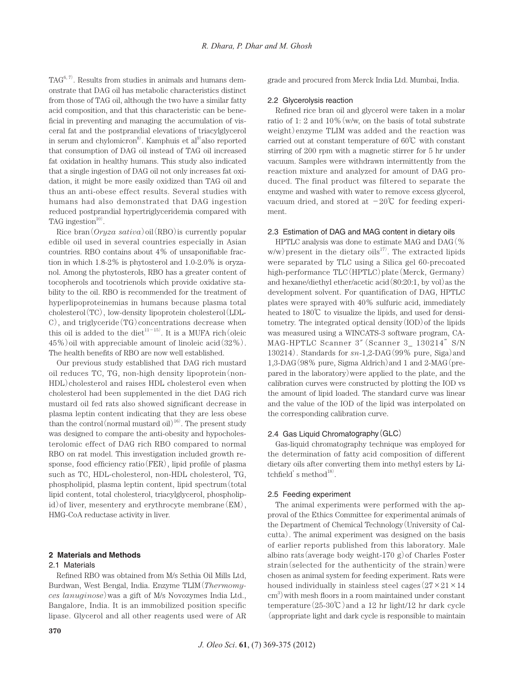$TAG<sup>6, 7</sup>$ . Results from studies in animals and humans demonstrate that DAG oil has metabolic characteristics distinct from those of TAG oil, although the two have a similar fatty acid composition, and that this characteristic can be beneficial in preventing and managing the accumulation of visceral fat and the postprandial elevations of triacylglycerol in serum and chylomicron<sup>8</sup>. Kamphuis et al<sup>9</sup> also reported that consumption of DAG oil instead of TAG oil increased fat oxidation in healthy humans. This study also indicated that a single ingestion of DAG oil not only increases fat oxidation, it might be more easily oxidized than TAG oil and thus an anti-obese effect results. Several studies with humans had also demonstrated that DAG ingestion reduced postprandial hypertriglyceridemia compared with TAG ingestion $10$ <sup>10)</sup>.

Rice bran(*Oryza sativa*)oil(RBO)is currently popular edible oil used in several countries especially in Asian countries. RBO contains about 4% of unsaponifiable fraction in which 1.8-2% is phytosterol and 1.0-2.0% is oryzanol. Among the phytosterols, RBO has a greater content of tocopherols and tocotrienols which provide oxidative stability to the oil. RBO is recommended for the treatment of hyperlipoproteinemias in humans because plasma total cholesterol(TC), low-density lipoprotein cholesterol(LDL-C), and triglyceride(TG)concentrations decrease when this oil is added to the diet<sup>11-15</sup>. It is a MUFA rich (oleic 45%)oil with appreciable amount of linoleic acid(32%). The health benefits of RBO are now well established.

Our previous study established that DAG rich mustard oil reduces TC, TG, non-high density lipoprotein(non-HDL)cholesterol and raises HDL cholesterol even when cholesterol had been supplemented in the diet DAG rich mustard oil fed rats also showed significant decrease in plasma leptin content indicating that they are less obese than the control (normal mustard oil)<sup>16)</sup>. The present study was designed to compare the anti-obesity and hypocholesterolomic effect of DAG rich RBO compared to normal RBO on rat model. This investigation included growth response, food efficiency ratio(FER), lipid profile of plasma such as TC, HDL-cholesterol, non-HDL cholesterol, TG, phospholipid, plasma leptin content, lipid spectrum(total lipid content, total cholesterol, triacylglycerol, phospholipid) of liver, mesentery and erythrocyte membrane  $(EM)$ , HMG-CoA reductase activity in liver.

## **2 Materials and Methods**

## 2.1 Materials

Refined RBO was obtained from M/s Sethia Oil Mills Ltd, Burdwan, West Bengal, India. Enzyme TLIM(*Thermomyces lanuginose*)was a gift of M/s Novozymes India Ltd., Bangalore, India. It is an immobilized position specific lipase. Glycerol and all other reagents used were of AR grade and procured from Merck India Ltd. Mumbai, India.

# 2.2 Glycerolysis reaction

Refined rice bran oil and glycerol were taken in a molar ratio of 1: 2 and 10%(w/w, on the basis of total substrate weight)enzyme TLIM was added and the reaction was carried out at constant temperature of 60℃ with constant stirring of 200 rpm with a magnetic stirrer for 5 hr under vacuum. Samples were withdrawn intermittently from the reaction mixture and analyzed for amount of DAG produced. The final product was filtered to separate the enzyme and washed with water to remove excess glycerol, vacuum dried, and stored at  $-20^{\circ}$  for feeding experiment.

# 2.3 Estimation of DAG and MAG content in dietary oils

HPTLC analysis was done to estimate MAG and DAG(%  $w/w$ ) present in the dietary oils<sup>17</sup>. The extracted lipids were separated by TLC using a Silica gel 60-precoated high-performance TLC(HPTLC)plate(Merck, Germany) and hexane/diethyl ether/acetic acid  $(80:20:1,$  by vol) as the development solvent. For quantification of DAG, HPTLC plates were sprayed with 40% sulfuric acid, immediately heated to 180℃ to visualize the lipids, and used for densitometry. The integrated optical density(IOD)of the lipids was measured using a WINCATS-3 software program, CA-MAG-HPTLC Scanner 3″(Scanner 3\_ 130214" S/N 130214). Standards for *sn*-1,2-DAG(99% pure, Siga)and 1,3-DAG(98% pure, Sigma Aldrich)and 1 and 2-MAG(prepared in the laboratory)were applied to the plate, and the calibration curves were constructed by plotting the IOD vs the amount of lipid loaded. The standard curve was linear and the value of the IOD of the lipid was interpolated on the corresponding calibration curve.

# 2.4 Gas Liquid Chromatography(GLC)

Gas-liquid chromatography technique was employed for the determination of fatty acid composition of different dietary oils after converting them into methyl esters by Litchfield's method $^{18)}$ .

# 2.5 Feeding experiment

The animal experiments were performed with the approval of the Ethics Committee for experimental animals of the Department of Chemical Technology(University of Calcutta). The animal experiment was designed on the basis of earlier reports published from this laboratory. Male albino rats (average body weight-170 g) of Charles Foster strain(selected for the authenticity of the strain) were chosen as animal system for feeding experiment. Rats were housed individually in stainless steel cages  $(27 \times 21 \times 14$ cm<sup>3</sup>) with mesh floors in a room maintained under constant temperature( $25-30\degree$ ) and a 12 hr light/12 hr dark cycle (appropriate light and dark cycle is responsible to maintain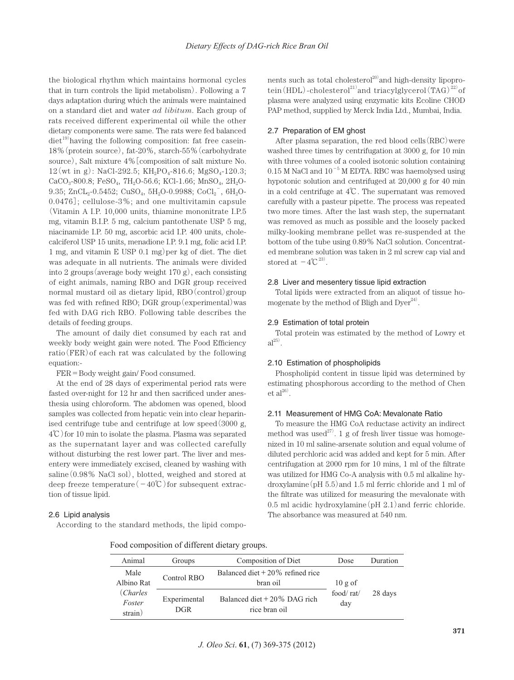the biological rhythm which maintains hormonal cycles that in turn controls the lipid metabolism). Following a 7 days adaptation during which the animals were maintained on a standard diet and water *ad libitum*. Each group of rats received different experimental oil while the other dietary components were same. The rats were fed balanced diet<sup>19)</sup> having the following composition: fat free casein-18%(protein source), fat-20%, starch-55%(carbohydrate source), Salt mixture 4%[composition of salt mixture No.  $12(\text{wt in g})$ : NaCl-292.5; KH<sub>2</sub>PO<sub>4</sub>-816.6; MgSO<sub>4</sub>-120.3;  $CaCO<sub>3</sub>$ -800.8; FeSO<sub>4</sub>, 7H<sub>2</sub>O-56.6; KCl-1.66; MnSO<sub>4</sub>, 2H<sub>2</sub>O-9.35; ZnCL<sub>2</sub>-0.5452; CuSO<sub>4</sub>, 5H<sub>2</sub>O-0.9988; CoCl<sub>2</sub><sup>-</sup>, 6H<sub>2</sub>O-0.0476]; cellulose-3%; and one multivitamin capsule (Vitamin A I.P. 10,000 units, thiamine mononitrate I.P.5 mg, vitamin B.I.P. 5 mg, calcium pantothenate USP 5 mg, niacinamide I.P. 50 mg, ascorbic acid I.P. 400 units, cholecalciferol USP 15 units, menadione I.P. 9.1 mg, folic acid I.P. 1 mg, and vitamin E USP  $(0.1 \text{ mg})$  per kg of diet. The diet was adequate in all nutrients. The animals were divided into 2 groups(average body weight 170 g), each consisting of eight animals, naming RBO and DGR group received normal mustard oil as dietary lipid, RBO(control)group was fed with refined RBO; DGR group(experimental)was fed with DAG rich RBO. Following table describes the details of feeding groups.

The amount of daily diet consumed by each rat and weekly body weight gain were noted. The Food Efficiency ratio(FER)of each rat was calculated by the following equation:-

FER=Body weight gain/ Food consumed.

At the end of 28 days of experimental period rats were fasted over-night for 12 hr and then sacrificed under anesthesia using chloroform. The abdomen was opened, blood samples was collected from hepatic vein into clear heparinised centrifuge tube and centrifuge at low speed(3000 g, 4℃)for 10 min to isolate the plasma. Plasma was separated as the supernatant layer and was collected carefully without disturbing the rest lower part. The liver and mesentery were immediately excised, cleaned by washing with saline(0.98% NaCl sol), blotted, weighed and stored at deep freeze temperature( $-40^{\circ}$ C)for subsequent extraction of tissue lipid.

# 2.6 Lipid analysis

According to the standard methods, the lipid compo-

nents such as total cholesterol<sup>20)</sup> and high-density lipoprotein (HDL)-cholesterol<sup>21</sup> and triacylglycerol  $(TAG)^{22}$  of plasma were analyzed using enzymatic kits Ecoline CHOD PAP method, supplied by Merck India Ltd., Mumbai, India.

#### 2.7 Preparation of EM ghost

After plasma separation, the red blood cells  $(RBC)$  were washed three times by centrifugation at 3000 g, for 10 min with three volumes of a cooled isotonic solution containing  $0.15$  M NaCl and  $10^{-5}$  M EDTA. RBC was haemolysed using hypotonic solution and centrifuged at 20,000 g for 40 min in a cold centrifuge at 4℃. The supernatant was removed carefully with a pasteur pipette. The process was repeated two more times. After the last wash step, the supernatant was removed as much as possible and the loosely packed milky-looking membrane pellet was re-suspended at the bottom of the tube using 0.89% NaCl solution. Concentrated membrane solution was taken in 2 ml screw cap vial and stored at  $-4^{\circ}C^{23}$ .

#### 2.8 Liver and mesentery tissue lipid extraction

Total lipids were extracted from an aliquot of tissue homogenate by the method of Bligh and  $Dyer<sup>24</sup>$ .

#### 2.9 Estimation of total protein

Total protein was estimated by the method of Lowry et  $al^{25)}$ .

## 2.10 Estimation of phospholipids

Phospholipid content in tissue lipid was determined by estimating phosphorous according to the method of Chen  $et al^{26}$ .

## 2.11 Measurement of HMG CoA: Mevalonate Ratio

To measure the HMG CoA reductase activity an indirect method was used<sup>27)</sup>. 1 g of fresh liver tissue was homogenized in 10 ml saline-arsenate solution and equal volume of diluted perchloric acid was added and kept for 5 min. After centrifugation at 2000 rpm for 10 mins, 1 ml of the filtrate was utilized for HMG Co-A analysis with 0.5 ml alkaline hydroxylamine(pH 5.5)and 1.5 ml ferric chloride and 1 ml of the filtrate was utilized for measuring the mevalonate with 0.5 ml acidic hydroxylamine  $\rm (pH 2.1)$  and ferric chloride. The absorbance was measured at 540 nm.

| Food composition of different dietary groups. |  |  |  |  |  |
|-----------------------------------------------|--|--|--|--|--|
|-----------------------------------------------|--|--|--|--|--|

| Animal                        | Groups                     | Composition of Diet                             | Dose             | Duration |
|-------------------------------|----------------------------|-------------------------------------------------|------------------|----------|
| Male<br>Albino Rat            | Control RBO                | Balanced diet $+20\%$ refined rice<br>bran oil  | $10$ g of        |          |
| (Charles<br>Foster<br>strain) | Experimental<br><b>DGR</b> | Balanced diet $+20\%$ DAG rich<br>rice bran oil | food/rat/<br>day | 28 days  |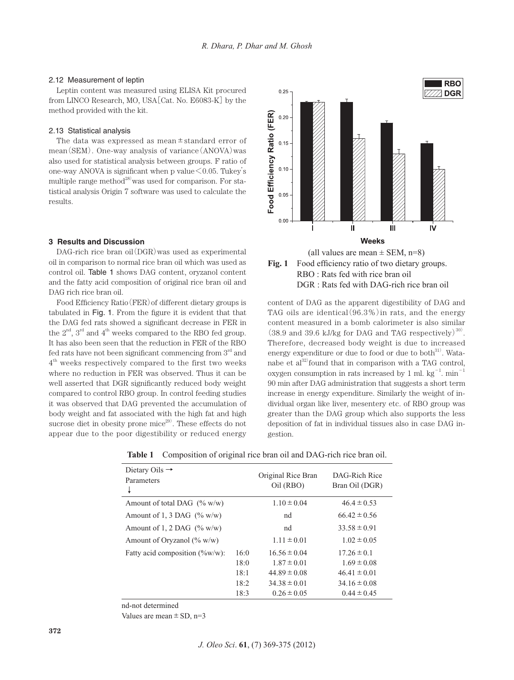## 2.12 Measurement of leptin

Leptin content was measured using ELISA Kit procured from LINCO Research, MO, USA[Cat. No. E6083-K] by the method provided with the kit.

# 2.13 Statistical analysis

The data was expressed as mean $\pm$ standard error of mean(SEM). One-way analysis of variance(ANOVA)was also used for statistical analysis between groups. F ratio of one-way ANOVA is significant when p value  $\leq 0.05$ . Tukey's multiple range method<sup>28)</sup> was used for comparison. For statistical analysis Origin 7 software was used to calculate the results.

#### **3 Results and Discussion**

DAG-rich rice bran oil(DGR)was used as experimental oil in comparison to normal rice bran oil which was used as control oil. Table 1 shows DAG content, oryzanol content and the fatty acid composition of original rice bran oil and DAG rich rice bran oil.

Food Efficiency Ratio(FER)of different dietary groups is tabulated in Fig. 1. From the figure it is evident that that the DAG fed rats showed a significant decrease in FER in the  $2<sup>nd</sup>$ ,  $3<sup>rd</sup>$  and  $4<sup>th</sup>$  weeks compared to the RBO fed group. It has also been seen that the reduction in FER of the RBO fed rats have not been significant commencing from 3rd and  $4<sup>th</sup>$  weeks respectively compared to the first two weeks where no reduction in FER was observed. Thus it can be well asserted that DGR significantly reduced body weight compared to control RBO group. In control feeding studies it was observed that DAG prevented the accumulation of body weight and fat associated with the high fat and high sucrose diet in obesity prone mice<sup>29)</sup>. These effects do not appear due to the poor digestibility or reduced energy





content of DAG as the apparent digestibility of DAG and TAG oils are identical  $(96.3\%)$  in rats, and the energy content measured in a bomb calorimeter is also similar  $(38.9 \text{ and } 39.6 \text{ kJ/kg} \text{ for DAG and TAG respectively})^{30}$ . Therefore, decreased body weight is due to increased energy expenditure or due to food or due to both $^{31}$ . Watanabe et al $^{32}$ found that in comparison with a TAG control, oxygen consumption in rats increased by 1 ml.  $\text{kg}^{-1}$ . min<sup>-1</sup> 90 min after DAG administration that suggests a short term increase in energy expenditure. Similarly the weight of individual organ like liver, mesentery etc. of RBO group was greater than the DAG group which also supports the less deposition of fat in individual tissues also in case DAG ingestion.

| Dietary Oils $\rightarrow$<br>Parameters<br>↓ |      | Original Rice Bran<br>Oil (RBO) | DAG-Rich Rice<br>Bran Oil (DGR) |
|-----------------------------------------------|------|---------------------------------|---------------------------------|
| Amount of total DAG $(\% w/w)$                |      | $1.10 \pm 0.04$                 | $46.4 \pm 0.53$                 |
| Amount of 1, 3 DAG $(\% w/w)$                 |      | nd                              | $66.42 \pm 0.56$                |
| Amount of 1, 2 DAG $(\% w/w)$                 |      | nd                              | $33.58 \pm 0.91$                |
| Amount of Oryzanol $(\% w/w)$                 |      | $1.11 \pm 0.01$                 | $1.02 \pm 0.05$                 |
| Fatty acid composition (%w/w):                | 16:0 | $16.56 \pm 0.04$                | $17.26 \pm 0.1$                 |
|                                               | 18:0 | $1.87 \pm 0.01$                 | $1.69 \pm 0.08$                 |
|                                               | 18:1 | $44.89 \pm 0.08$                | $46.41 \pm 0.01$                |
|                                               | 18:2 | $34.38 \pm 0.01$                | $34.16 \pm 0.08$                |
|                                               | 18:3 | $0.26 \pm 0.05$                 | $0.44 \pm 0.45$                 |

**Table 1** Composition of original rice bran oil and DAG-rich rice bran oil.

nd-not determined

Values are mean  $\pm$  SD, n=3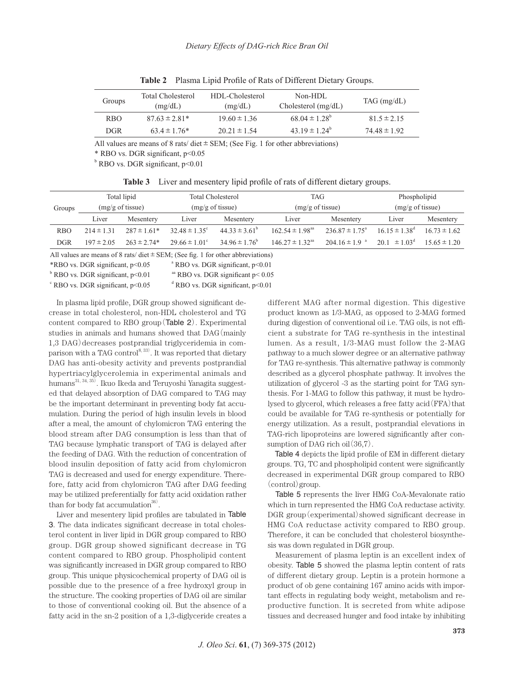| Groups          | Total Cholesterol<br>(mg/dL) | HDL-Cholesterol<br>(mg/dL) | Non-HDL<br>Cholesterol $(mg/dL)$ | TAG(mg/dL)       |
|-----------------|------------------------------|----------------------------|----------------------------------|------------------|
| R <sub>BO</sub> | $87.63 \pm 2.81*$            | $19.60 \pm 1.36$           | $68.04 \pm 1.28^{\circ}$         | $81.5 \pm 2.15$  |
| DGR.            | $63.4 \pm 1.76*$             | $20.21 \pm 1.54$           | 43.19 $\pm$ 1.24 <sup>b</sup>    | $74.48 \pm 1.92$ |

**Table 2** Plasma Lipid Profile of Rats of Different Dietary Groups.

All values are means of 8 rats/ diet  $\pm$  SEM; (See Fig. 1 for other abbreviations)

\* RBO vs. DGR significant, p<0.05

<sup>b</sup> RBO vs. DGR significant, p<0.01

|  |  | Table 3 Liver and mesentery lipid profile of rats of different dietary groups. |  |  |  |  |  |  |  |
|--|--|--------------------------------------------------------------------------------|--|--|--|--|--|--|--|
|--|--|--------------------------------------------------------------------------------|--|--|--|--|--|--|--|

| Groups     |                | Total lipid<br>$(mg/g \text{ of tissue})$ | Total Cholesterol<br>$(mg/g \text{ of tissue})$ |                          | <b>TAG</b><br>$(mg/g \text{ of tissue})$ |                               | Phospholipid<br>$(mg/g \text{ of tissue})$ |                  |
|------------|----------------|-------------------------------------------|-------------------------------------------------|--------------------------|------------------------------------------|-------------------------------|--------------------------------------------|------------------|
|            | Liver          | Mesentery                                 | Liver                                           | Mesentery                | Liver                                    | Mesentery                     | Liver                                      | Mesentery        |
| <b>RBO</b> | $214 \pm 1.31$ | $287 \pm 1.61*$                           | $32.48 \pm 1.35^{\circ}$                        | $44.33 \pm 3.61^{\circ}$ | $162.54 \pm 1.98$ <sup>aa</sup>          | $236.87 \pm 1.75^{\circ}$     | $16.15 \pm 1.38^{\text{d}}$                | $16.73 \pm 1.62$ |
| <b>DGR</b> | $197 \pm 2.05$ | $263 \pm 2.74*$                           | $29.66 \pm 1.01^{\circ}$                        | $34.96 \pm 1.76^{\circ}$ | $146.27 \pm 1.32$ <sup>aa</sup>          | $204.16 \pm 1.9$ <sup>a</sup> | $20.1 \pm 1.03^{\circ}$                    | $15.65 \pm 1.20$ |

All values are means of 8 rats/ diet  $\pm$  SEM; (See fig. 1 for other abbreviations)

 $*RBO$  vs. DGR significant,  $p<0.05$  $^{\circ}$  RBO vs. DGR significant, p<0.01

<sup>b</sup> RBO vs. DGR significant, p<0.01 aa RBO vs. DGR significant  $p < 0.05$ 

 $\degree$  RBO vs. DGR significant, p<0.05  $\degree$ <sup>d</sup> RBO vs. DGR significant, p<0.01

In plasma lipid profile, DGR group showed significant decrease in total cholesterol, non-HDL cholesterol and TG content compared to RBO group(Table 2). Experimental studies in animals and humans showed that DAG(mainly 1,3 DAG)decreases postprandial triglyceridemia in comparison with a TAG control<sup>8, 33)</sup>. It was reported that dietary DAG has anti-obesity activity and prevents postprandial hypertriacylglycerolemia in experimental animals and humans $^{\rm 31,\, 34,\, 35)}$ . Ikuo Ikeda and Teruyoshi Yanagita suggested that delayed absorption of DAG compared to TAG may be the important determinant in preventing body fat accumulation. During the period of high insulin levels in blood after a meal, the amount of chylomicron TAG entering the blood stream after DAG consumption is less than that of TAG because lymphatic transport of TAG is delayed after the feeding of DAG. With the reduction of concentration of blood insulin deposition of fatty acid from chylomicron TAG is decreased and used for energy expenditure. Therefore, fatty acid from chylomicron TAG after DAG feeding may be utilized preferentially for fatty acid oxidation rather than for body fat accumulation $^{36)}$ .

Liver and mesentery lipid profiles are tabulated in Table 3. The data indicates significant decrease in total cholesterol content in liver lipid in DGR group compared to RBO group. DGR group showed significant decrease in TG content compared to RBO group. Phospholipid content was significantly increased in DGR group compared to RBO group. This unique physicochemical property of DAG oil is possible due to the presence of a free hydroxyl group in the structure. The cooking properties of DAG oil are similar to those of conventional cooking oil. But the absence of a fatty acid in the sn-2 position of a 1,3-diglyceride creates a different MAG after normal digestion. This digestive product known as 1/3-MAG, as opposed to 2-MAG formed during digestion of conventional oil i.e. TAG oils, is not efficient a substrate for TAG re-synthesis in the intestinal lumen. As a result, 1/3-MAG must follow the 2-MAG pathway to a much slower degree or an alternative pathway for TAG re-synthesis. This alternative pathway is commonly described as a glycerol phosphate pathway. It involves the utilization of glycerol -3 as the starting point for TAG synthesis. For 1-MAG to follow this pathway, it must be hydrolysed to glycerol, which releases a free fatty  $\alpha$ cid $(FFA)$ that could be available for TAG re-synthesis or potentially for energy utilization. As a result, postprandial elevations in TAG-rich lipoproteins are lowered significantly after consumption of DAG rich oil $(36,7)$ .

Table 4 depicts the lipid profile of EM in different dietary groups. TG, TC and phospholipid content were significantly decreased in experimental DGR group compared to RBO (control)group.

Table 5 represents the liver HMG CoA-Mevalonate ratio which in turn represented the HMG CoA reductase activity. DGR group (experimental) showed significant decrease in HMG CoA reductase activity compared to RBO group. Therefore, it can be concluded that cholesterol biosynthesis was down regulated in DGR group.

Measurement of plasma leptin is an excellent index of obesity. Table 5 showed the plasma leptin content of rats of different dietary group. Leptin is a protein hormone a product of ob gene containing 167 amino acids with important effects in regulating body weight, metabolism and reproductive function. It is secreted from white adipose tissues and decreased hunger and food intake by inhibiting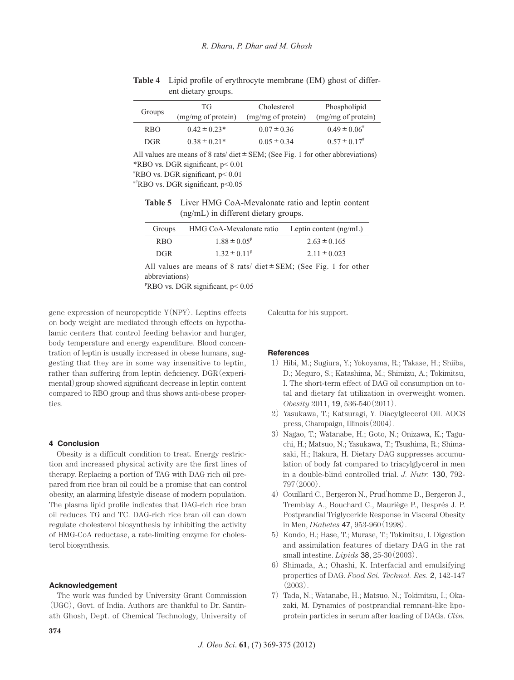| Groups     | TG<br>(mg/mg of protein) | Cholesterol<br>(mg/mg of protein) | Phospholipid<br>(mg/mg of protein) |
|------------|--------------------------|-----------------------------------|------------------------------------|
| <b>RBO</b> | $0.42 \pm 0.23*$         | $0.07 \pm 0.36$                   | $0.49 \pm 0.06$ <sup>#</sup>       |
| DGR.       | $0.38 \pm 0.21*$         | $0.05 \pm 0.34$                   | $0.57 \pm 0.17$                    |

**Table 4** Lipid profile of erythrocyte membrane (EM) ghost of different dietary groups.

All values are means of 8 rats/ diet  $\pm$  SEM; (See Fig. 1 for other abbreviations) \*RBO vs. DGR significant, p< 0.01

# RBO vs. DGR significant, p< 0.01

 $H_{\text{RBO} \text{vs.} \text{DGR significant, } p \leq 0.05$ 

**Table 5** Liver HMG CoA-Mevalonate ratio and leptin content (ng/mL) in different dietary groups.

| Groups          | HMG CoA-Mevalonate ratio | Leptin content $(ng/mL)$ |
|-----------------|--------------------------|--------------------------|
| R <sub>BO</sub> | $1.88 \pm 0.05^{\rm p}$  | $2.63 \pm 0.165$         |
| DGR.            | $1.32 \pm 0.11^p$        | $2.11 \pm 0.023$         |
|                 |                          |                          |

All values are means of 8 rats/ diet  $\pm$  SEM; (See Fig. 1 for other abbreviations)

<sup>p</sup>RBO vs. DGR significant, p< 0.05

gene expression of neuropeptide  $Y(NPY)$ . Leptins effects on body weight are mediated through effects on hypothalamic centers that control feeding behavior and hunger, body temperature and energy expenditure. Blood concentration of leptin is usually increased in obese humans, suggesting that they are in some way insensitive to leptin, rather than suffering from leptin deficiency. DGR(experimental)group showed significant decrease in leptin content compared to RBO group and thus shows anti-obese properties.

#### **4 Conclusion**

Obesity is a difficult condition to treat. Energy restriction and increased physical activity are the first lines of therapy. Replacing a portion of TAG with DAG rich oil prepared from rice bran oil could be a promise that can control obesity, an alarming lifestyle disease of modern population. The plasma lipid profile indicates that DAG-rich rice bran oil reduces TG and TC. DAG-rich rice bran oil can down regulate cholesterol biosynthesis by inhibiting the activity of HMG-CoA reductase, a rate-limiting enzyme for cholesterol biosynthesis.

## **Acknowledgement**

The work was funded by University Grant Commission (UGC), Govt. of India. Authors are thankful to Dr. Santinath Ghosh, Dept. of Chemical Technology, University of

Calcutta for his support.

## **References**

- 1) Hibi, M.; Sugiura, Y.; Yokoyama, R.; Takase, H.; Shiiba, D.; Meguro, S.; Katashima, M.; Shimizu, A.; Tokimitsu, I. The short-term effect of DAG oil consumption on total and dietary fat utilization in overweight women. *Obesity* 2011, 19, 536-540(2011).
- 2) Yasukawa, T.; Katsuragi, Y. Diacylglecerol Oil. AOCS press, Champaign, Illinois(2004).
- 3) Nagao, T.; Watanabe, H.; Goto, N.; Onizawa, K.; Taguchi, H.; Matsuo, N.; Yasukawa, T.; Tsushima, R.; Shimasaki, H.; Itakura, H. Dietary DAG suppresses accumulation of body fat compared to triacylglycerol in men in a double-blind controlled trial. *J. Nutr.* 130, 792- 797(2000).
- 4) Couillard C., Bergeron N., Prud'homme D., Bergeron J., Tremblay A., Bouchard C., Mauriège P., Després J. P. Postprandial Triglyceride Response in Visceral Obesity in Men, *Diabetes* 47, 953-960(1998).
- 5) Kondo, H.; Hase, T.; Murase, T.; Tokimitsu, I. Digestion and assimilation features of dietary DAG in the rat small intestine. *Lipids* 38, 25-30(2003).
- 6) Shimada, A.; Ohashi, K. Interfacial and emulsifying properties of DAG. *Food Sci. Technol. Res.* 2, 142-147  $(2003)$ .
- 7) Tada, N.; Watanabe, H.; Matsuo, N.; Tokimitsu, I.; Okazaki, M. Dynamics of postprandial remnant-like lipoprotein particles in serum after loading of DAGs. *Clin.*